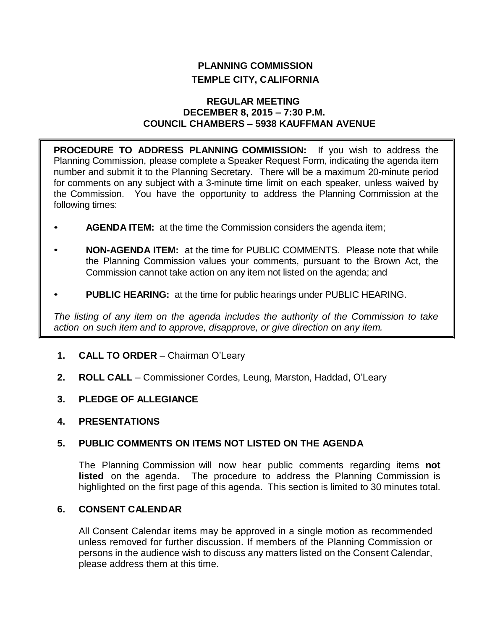# **PLANNING COMMISSION TEMPLE CITY, CALIFORNIA**

## **REGULAR MEETING DECEMBER 8, 2015 – 7:30 P.M. COUNCIL CHAMBERS – 5938 KAUFFMAN AVENUE**

**PROCEDURE TO ADDRESS PLANNING COMMISSION:** If you wish to address the Planning Commission, please complete a Speaker Request Form, indicating the agenda item number and submit it to the Planning Secretary. There will be a maximum 20-minute period for comments on any subject with a 3-minute time limit on each speaker, unless waived by the Commission. You have the opportunity to address the Planning Commission at the following times:

- **AGENDA ITEM:** at the time the Commission considers the agenda item;
- **NON-AGENDA ITEM:** at the time for PUBLIC COMMENTS. Please note that while the Planning Commission values your comments, pursuant to the Brown Act, the Commission cannot take action on any item not listed on the agenda; and
- **PUBLIC HEARING:** at the time for public hearings under PUBLIC HEARING.

*The listing of any item on the agenda includes the authority of the Commission to take action on such item and to approve, disapprove, or give direction on any item.*

- **1. CALL TO ORDER** Chairman O'Leary
- **2. ROLL CALL** Commissioner Cordes, Leung, Marston, Haddad, O'Leary
- **3. PLEDGE OF ALLEGIANCE**
- **4. PRESENTATIONS**

# **5. PUBLIC COMMENTS ON ITEMS NOT LISTED ON THE AGENDA**

The Planning Commission will now hear public comments regarding items **not listed** on the agenda. The procedure to address the Planning Commission is highlighted on the first page of this agenda. This section is limited to 30 minutes total.

# **6. CONSENT CALENDAR**

All Consent Calendar items may be approved in a single motion as recommended unless removed for further discussion. If members of the Planning Commission or persons in the audience wish to discuss any matters listed on the Consent Calendar, please address them at this time.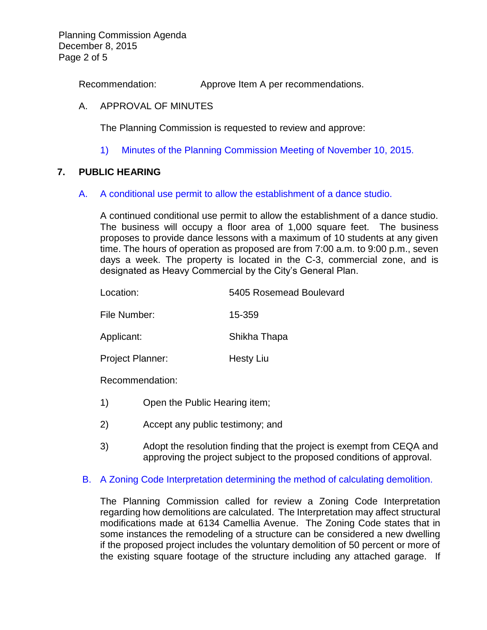Planning Commission Agenda December 8, 2015 Page 2 of 5

Recommendation: Approve Item A per recommendations.

## A. APPROVAL OF MINUTES

The Planning Commission is requested to review and approve:

1) Minutes of the [Planning Commission Meeting](http://ca-templecity.civicplus.com/DocumentCenter/View/5005) of November 10, 2015.

## **7. PUBLIC HEARING**

#### A. [A conditional use permit to allow the establishment of a dance studio.](http://ca-templecity.civicplus.com/DocumentCenter/View/5006)

A continued conditional use permit to allow the establishment of a dance studio. The business will occupy a floor area of 1,000 square feet. The business proposes to provide dance lessons with a maximum of 10 students at any given time. The hours of operation as proposed are from 7:00 a.m. to 9:00 p.m., seven days a week. The property is located in the C-3, commercial zone, and is designated as Heavy Commercial by the City's General Plan.

| Location:               | 5405 Rosemead Boulevard |
|-------------------------|-------------------------|
| File Number:            | 15-359                  |
| Applicant:              | Shikha Thapa            |
| <b>Project Planner:</b> | <b>Hesty Liu</b>        |
| Recommendation:         |                         |
|                         |                         |

- 1) Open the Public Hearing item;
- 2) Accept any public testimony; and
- 3) Adopt the resolution finding that the project is exempt from CEQA and approving the project subject to the proposed conditions of approval.

# B. [A Zoning Code Interpretation determining the method of calculating demolition.](http://ca-templecity.civicplus.com/DocumentCenter/View/5007)

The Planning Commission called for review a Zoning Code Interpretation regarding how demolitions are calculated. The Interpretation may affect structural modifications made at 6134 Camellia Avenue. The Zoning Code states that in some instances the remodeling of a structure can be considered a new dwelling if the proposed project includes the voluntary demolition of 50 percent or more of the existing square footage of the structure including any attached garage. If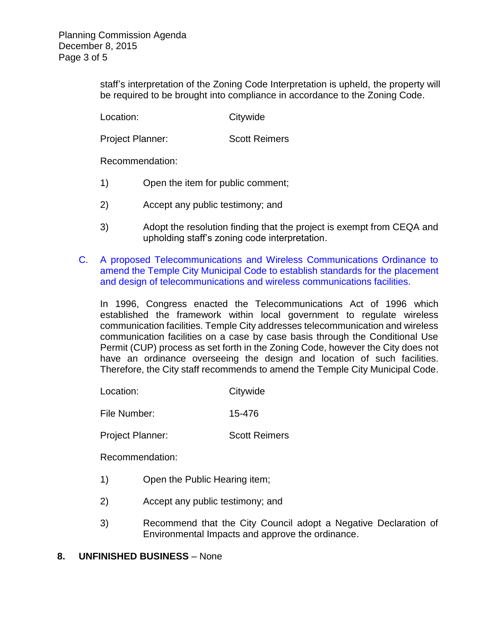staff's interpretation of the Zoning Code Interpretation is upheld, the property will be required to be brought into compliance in accordance to the Zoning Code.

Location: Citywide

Project Planner: Scott Reimers

Recommendation:

- 1) Open the item for public comment;
- 2) Accept any public testimony; and
- 3) Adopt the resolution finding that the project is exempt from CEQA and upholding staff's zoning code interpretation.
- C. [A proposed Telecommunications and Wireless Communications Ordinance to](http://ca-templecity.civicplus.com/DocumentCenter/View/5008)  [amend the Temple City Municipal Code to establish standards for the placement](http://ca-templecity.civicplus.com/DocumentCenter/View/5008)  [and design of telecommunications and wireless communications facilities.](http://ca-templecity.civicplus.com/DocumentCenter/View/5008)

In 1996, Congress enacted the Telecommunications Act of 1996 which established the framework within local government to regulate wireless communication facilities. Temple City addresses telecommunication and wireless communication facilities on a case by case basis through the Conditional Use Permit (CUP) process as set forth in the Zoning Code, however the City does not have an ordinance overseeing the design and location of such facilities. Therefore, the City staff recommends to amend the Temple City Municipal Code.

Location: Citywide

File Number: 15-476

Project Planner: Scott Reimers

Recommendation:

- 1) Open the Public Hearing item;
- 2) Accept any public testimony; and
- 3) Recommend that the City Council adopt a Negative Declaration of Environmental Impacts and approve the ordinance.

# **8. UNFINISHED BUSINESS** – None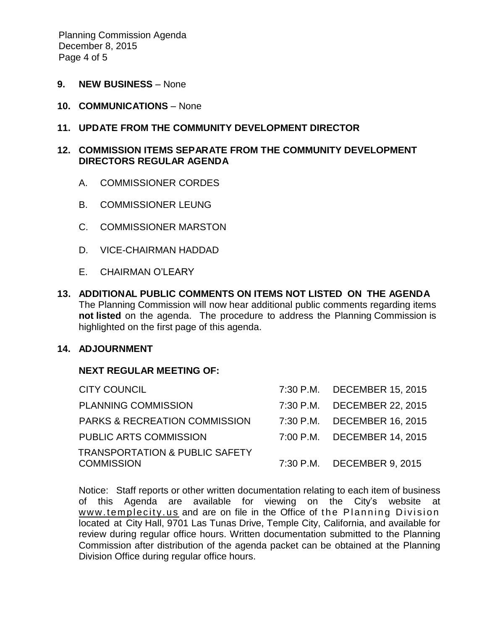Planning Commission Agenda December 8, 2015 Page 4 of 5

- **9. NEW BUSINESS** None
- **10. COMMUNICATIONS** None

## **11. UPDATE FROM THE COMMUNITY DEVELOPMENT DIRECTOR**

## **12. COMMISSION ITEMS SEPARATE FROM THE COMMUNITY DEVELOPMENT DIRECTORS REGULAR AGENDA**

- A. COMMISSIONER CORDES
- B. COMMISSIONER LEUNG
- C. COMMISSIONER MARSTON
- D. VICE-CHAIRMAN HADDAD
- E. CHAIRMAN O'LEARY
- **13. ADDITIONAL PUBLIC COMMENTS ON ITEMS NOT LISTED ON THE AGENDA** The Planning Commission will now hear additional public comments regarding items **not listed** on the agenda. The procedure to address the Planning Commission is highlighted on the first page of this agenda.

#### **14. ADJOURNMENT**

#### **NEXT REGULAR MEETING OF:**

| <b>CITY COUNCIL</b>                                            | 7:30 P.M. DECEMBER 15, 2015 |
|----------------------------------------------------------------|-----------------------------|
| <b>PLANNING COMMISSION</b>                                     | 7:30 P.M. DECEMBER 22, 2015 |
| <b>PARKS &amp; RECREATION COMMISSION</b>                       | 7:30 P.M. DECEMBER 16, 2015 |
| <b>PUBLIC ARTS COMMISSION</b>                                  | 7:00 P.M. DECEMBER 14, 2015 |
| <b>TRANSPORTATION &amp; PUBLIC SAFETY</b><br><b>COMMISSION</b> | 7:30 P.M. DECEMBER 9, 2015  |

Notice: Staff reports or other written documentation relating to each item of business of this Agenda are available for viewing on the City's website at www.templecity.us and are on file in the Office of the Planning Division located at City Hall, 9701 Las Tunas Drive, Temple City, California, and available for review during regular office hours. Written documentation submitted to the Planning Commission after distribution of the agenda packet can be obtained at the Planning Division Office during regular office hours.